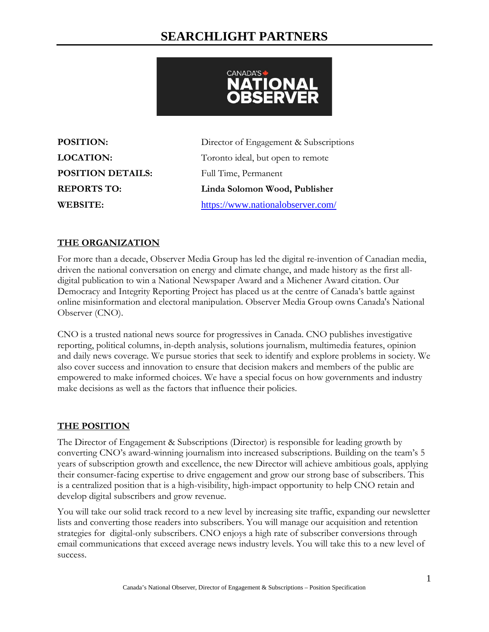# **SEARCHLIGHT PARTNERS**



**POSITION DETAILS:** Full Time, Permanent

**POSITION:** Director of Engagement & Subscriptions **LOCATION:** Toronto ideal, but open to remote **REPORTS TO: Linda Solomon Wood, Publisher WEBSITE:** <https://www.nationalobserver.com/>

## **THE ORGANIZATION**

For more than a decade, Observer Media Group has led the digital re-invention of Canadian media, driven the national conversation on energy and climate change, and made history as the first alldigital publication to win a National Newspaper Award and a Michener Award citation. Our Democracy and Integrity Reporting Project has placed us at the centre of Canada's battle against online misinformation and electoral manipulation. Observer Media Group owns Canada's National Observer (CNO).

CNO is a trusted national news source for progressives in Canada. CNO publishes investigative reporting, political columns, in-depth analysis, solutions journalism, multimedia features, opinion and daily news coverage. We pursue stories that seek to identify and explore problems in society. We also cover success and innovation to ensure that decision makers and members of the public are empowered to make informed choices. We have a special focus on how governments and industry make decisions as well as the factors that influence their policies.

## **THE POSITION**

The Director of Engagement & Subscriptions (Director) is responsible for leading growth by converting CNO's award-winning journalism into increased subscriptions. Building on the team's 5 years of subscription growth and excellence, the new Director will achieve ambitious goals, applying their consumer-facing expertise to drive engagement and grow our strong base of subscribers. This is a centralized position that is a high-visibility, high-impact opportunity to help CNO retain and develop digital subscribers and grow revenue.

You will take our solid track record to a new level by increasing site traffic, expanding our newsletter lists and converting those readers into subscribers. You will manage our acquisition and retention strategies for digital-only subscribers. CNO enjoys a high rate of subscriber conversions through email communications that exceed average news industry levels. You will take this to a new level of success.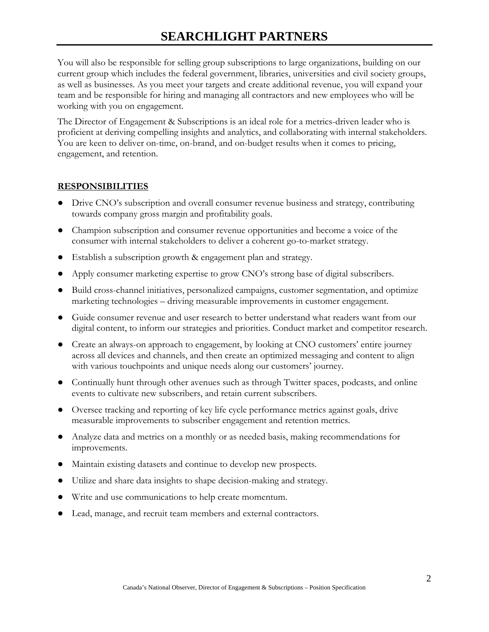# **SEARCHLIGHT PARTNERS**

You will also be responsible for selling group subscriptions to large organizations, building on our current group which includes the federal government, libraries, universities and civil society groups, as well as businesses. As you meet your targets and create additional revenue, you will expand your team and be responsible for hiring and managing all contractors and new employees who will be working with you on engagement.

The Director of Engagement & Subscriptions is an ideal role for a metrics-driven leader who is proficient at deriving compelling insights and analytics, and collaborating with internal stakeholders. You are keen to deliver on-time, on-brand, and on-budget results when it comes to pricing, engagement, and retention.

### **RESPONSIBILITIES**

- Drive CNO's subscription and overall consumer revenue business and strategy, contributing towards company gross margin and profitability goals.
- Champion subscription and consumer revenue opportunities and become a voice of the consumer with internal stakeholders to deliver a coherent go-to-market strategy.
- Establish a subscription growth & engagement plan and strategy.
- Apply consumer marketing expertise to grow CNO's strong base of digital subscribers.
- Build cross-channel initiatives, personalized campaigns, customer segmentation, and optimize marketing technologies – driving measurable improvements in customer engagement.
- Guide consumer revenue and user research to better understand what readers want from our digital content, to inform our strategies and priorities. Conduct market and competitor research.
- Create an always-on approach to engagement, by looking at CNO customers' entire journey across all devices and channels, and then create an optimized messaging and content to align with various touchpoints and unique needs along our customers' journey.
- Continually hunt through other avenues such as through Twitter spaces, podcasts, and online events to cultivate new subscribers, and retain current subscribers.
- Oversee tracking and reporting of key life cycle performance metrics against goals, drive measurable improvements to subscriber engagement and retention metrics.
- Analyze data and metrics on a monthly or as needed basis, making recommendations for improvements.
- Maintain existing datasets and continue to develop new prospects.
- Utilize and share data insights to shape decision-making and strategy.
- Write and use communications to help create momentum.
- Lead, manage, and recruit team members and external contractors.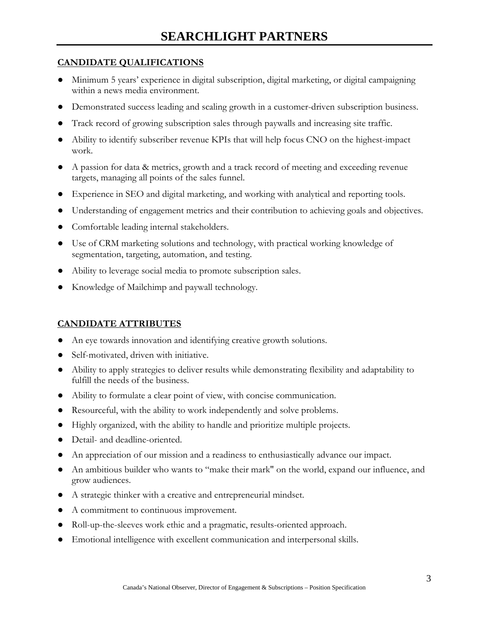### **CANDIDATE QUALIFICATIONS**

- Minimum 5 years' experience in digital subscription, digital marketing, or digital campaigning within a news media environment.
- Demonstrated success leading and scaling growth in a customer-driven subscription business.
- Track record of growing subscription sales through paywalls and increasing site traffic.
- Ability to identify subscriber revenue KPIs that will help focus CNO on the highest-impact work.
- A passion for data & metrics, growth and a track record of meeting and exceeding revenue targets, managing all points of the sales funnel.
- Experience in SEO and digital marketing, and working with analytical and reporting tools.
- Understanding of engagement metrics and their contribution to achieving goals and objectives.
- Comfortable leading internal stakeholders.
- Use of CRM marketing solutions and technology, with practical working knowledge of segmentation, targeting, automation, and testing.
- Ability to leverage social media to promote subscription sales.
- Knowledge of Mailchimp and paywall technology.

## **CANDIDATE ATTRIBUTES**

- An eye towards innovation and identifying creative growth solutions.
- Self-motivated, driven with initiative.
- Ability to apply strategies to deliver results while demonstrating flexibility and adaptability to fulfill the needs of the business.
- Ability to formulate a clear point of view, with concise communication.
- Resourceful, with the ability to work independently and solve problems.
- Highly organized, with the ability to handle and prioritize multiple projects.
- Detail- and deadline-oriented.
- An appreciation of our mission and a readiness to enthusiastically advance our impact.
- An ambitious builder who wants to "make their mark" on the world, expand our influence, and grow audiences.
- A strategic thinker with a creative and entrepreneurial mindset.
- A commitment to continuous improvement.
- Roll-up-the-sleeves work ethic and a pragmatic, results-oriented approach.
- Emotional intelligence with excellent communication and interpersonal skills.